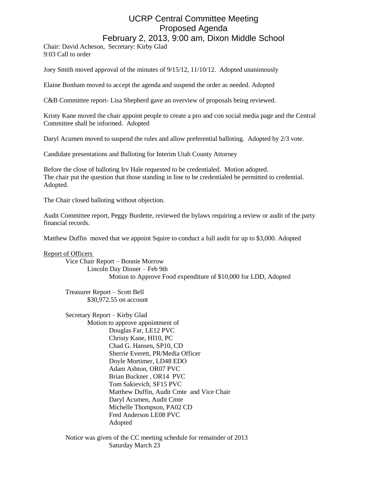## UCRP Central Committee Meeting Proposed Agenda February 2, 2013, 9:00 am, Dixon Middle School

Chair: David Acheson, Secretary: Kirby Glad 9:03 Call to order

Joey Smith moved approval of the minutes of 9/15/12, 11/10/12. Adopted unanimously

Elaine Bonham moved to accept the agenda and suspend the order as needed. Adopted

C&B Committee report- Lisa Shepherd gave an overview of proposals being reviewed.

Kristy Kane moved the chair appoint people to create a pro and con social media page and the Central Committee shall be informed. Adopted

Daryl Acumen moved to suspend the rules and allow preferential balloting. Adopted by 2/3 vote.

Candidate presentations and Balloting for Interim Utah County Attorney

Before the close of balloting Irv Hale requested to be credentialed. Motion adopted. The chair put the question that those standing in line to be credentialed be permitted to credential. Adopted.

The Chair closed balloting without objection.

Audit Committee report, Peggy Burdette, reviewed the bylaws requiring a review or audit of the party financial records.

Matthew Duffin moved that we appoint Squire to conduct a full audit for up to \$3,000. Adopted

## Report of Officers

Vice Chair Report – Bonnie Morrow Lincoln Day Dinner – Feb 9th Motion to Approve Food expenditure of \$10,000 for LDD, Adopted

Treasurer Report – Scott Bell \$30,972.55 on account

Secretary Report – Kirby Glad Motion to approve appointment of Douglas Far, LE12 PVC Christy Kane, HI10, PC Chad G. Hansen, SP10, CD Sherrie Everett, PR/Media Officer Doyle Mortimer, LD48 EDO Adam Ashton, OR07 PVC Brian Buckner , OR14 PVC Tom Sakievich, SF15 PVC Matthew Duffin, Audit Cmte and Vice Chair Daryl Acumen, Audit Cmte Michelle Thompson, PA02 CD Fred Anderson LE08 PVC Adopted

Notice was given of the CC meeting schedule for remainder of 2013 Saturday March 23